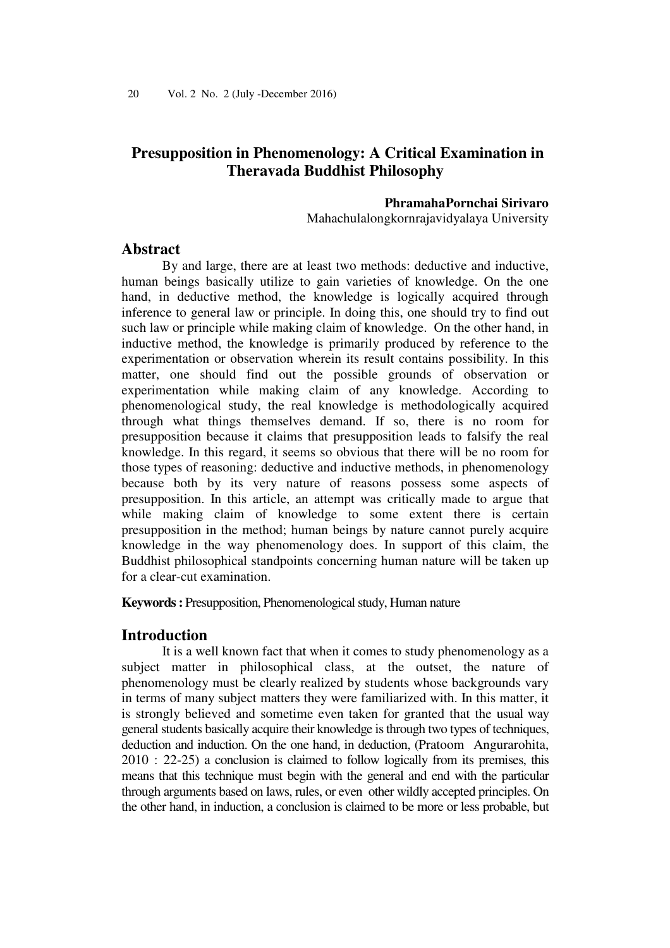# **Presupposition in Phenomenology: A Critical Examination in Theravada Buddhist Philosophy**

#### **PhramahaPornchai Sirivaro**

Mahachulalongkornrajavidyalaya University

## **Abstract**

By and large, there are at least two methods: deductive and inductive, human beings basically utilize to gain varieties of knowledge. On the one hand, in deductive method, the knowledge is logically acquired through inference to general law or principle. In doing this, one should try to find out such law or principle while making claim of knowledge. On the other hand, in inductive method, the knowledge is primarily produced by reference to the experimentation or observation wherein its result contains possibility. In this matter, one should find out the possible grounds of observation or experimentation while making claim of any knowledge. According to phenomenological study, the real knowledge is methodologically acquired through what things themselves demand. If so, there is no room for presupposition because it claims that presupposition leads to falsify the real knowledge. In this regard, it seems so obvious that there will be no room for those types of reasoning: deductive and inductive methods, in phenomenology because both by its very nature of reasons possess some aspects of presupposition. In this article, an attempt was critically made to argue that while making claim of knowledge to some extent there is certain presupposition in the method; human beings by nature cannot purely acquire knowledge in the way phenomenology does. In support of this claim, the Buddhist philosophical standpoints concerning human nature will be taken up for a clear-cut examination.

**Keywords :** Presupposition, Phenomenological study, Human nature

## **Introduction**

It is a well known fact that when it comes to study phenomenology as a subject matter in philosophical class, at the outset, the nature of phenomenology must be clearly realized by students whose backgrounds vary in terms of many subject matters they were familiarized with. In this matter, it is strongly believed and sometime even taken for granted that the usual way general students basically acquire their knowledge is through two types of techniques, deduction and induction. On the one hand, in deduction, (Pratoom Angurarohita, 2010 : 22-25) a conclusion is claimed to follow logically from its premises, this means that this technique must begin with the general and end with the particular through arguments based on laws, rules, or even other wildly accepted principles. On the other hand, in induction, a conclusion is claimed to be more or less probable, but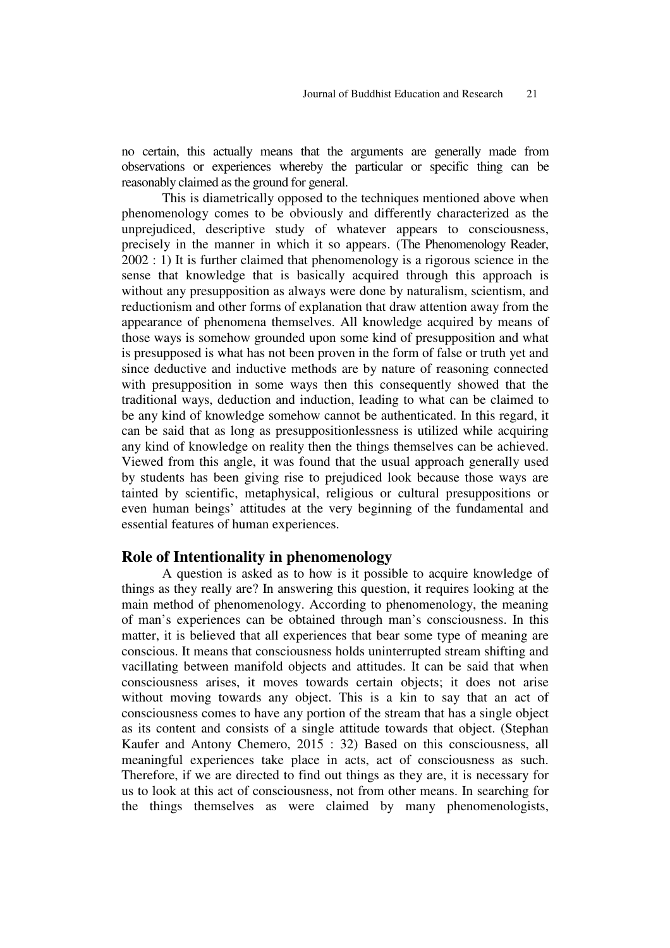no certain, this actually means that the arguments are generally made from observations or experiences whereby the particular or specific thing can be reasonably claimed as the ground for general.

This is diametrically opposed to the techniques mentioned above when phenomenology comes to be obviously and differently characterized as the unprejudiced, descriptive study of whatever appears to consciousness, precisely in the manner in which it so appears. (The Phenomenology Reader, 2002 : 1) It is further claimed that phenomenology is a rigorous science in the sense that knowledge that is basically acquired through this approach is without any presupposition as always were done by naturalism, scientism, and reductionism and other forms of explanation that draw attention away from the appearance of phenomena themselves. All knowledge acquired by means of those ways is somehow grounded upon some kind of presupposition and what is presupposed is what has not been proven in the form of false or truth yet and since deductive and inductive methods are by nature of reasoning connected with presupposition in some ways then this consequently showed that the traditional ways, deduction and induction, leading to what can be claimed to be any kind of knowledge somehow cannot be authenticated. In this regard, it can be said that as long as presuppositionlessness is utilized while acquiring any kind of knowledge on reality then the things themselves can be achieved. Viewed from this angle, it was found that the usual approach generally used by students has been giving rise to prejudiced look because those ways are tainted by scientific, metaphysical, religious or cultural presuppositions or even human beings' attitudes at the very beginning of the fundamental and essential features of human experiences.

#### **Role of Intentionality in phenomenology**

A question is asked as to how is it possible to acquire knowledge of things as they really are? In answering this question, it requires looking at the main method of phenomenology. According to phenomenology, the meaning of man's experiences can be obtained through man's consciousness. In this matter, it is believed that all experiences that bear some type of meaning are conscious. It means that consciousness holds uninterrupted stream shifting and vacillating between manifold objects and attitudes. It can be said that when consciousness arises, it moves towards certain objects; it does not arise without moving towards any object. This is a kin to say that an act of consciousness comes to have any portion of the stream that has a single object as its content and consists of a single attitude towards that object. (Stephan Kaufer and Antony Chemero, 2015 : 32) Based on this consciousness, all meaningful experiences take place in acts, act of consciousness as such. Therefore, if we are directed to find out things as they are, it is necessary for us to look at this act of consciousness, not from other means. In searching for the things themselves as were claimed by many phenomenologists,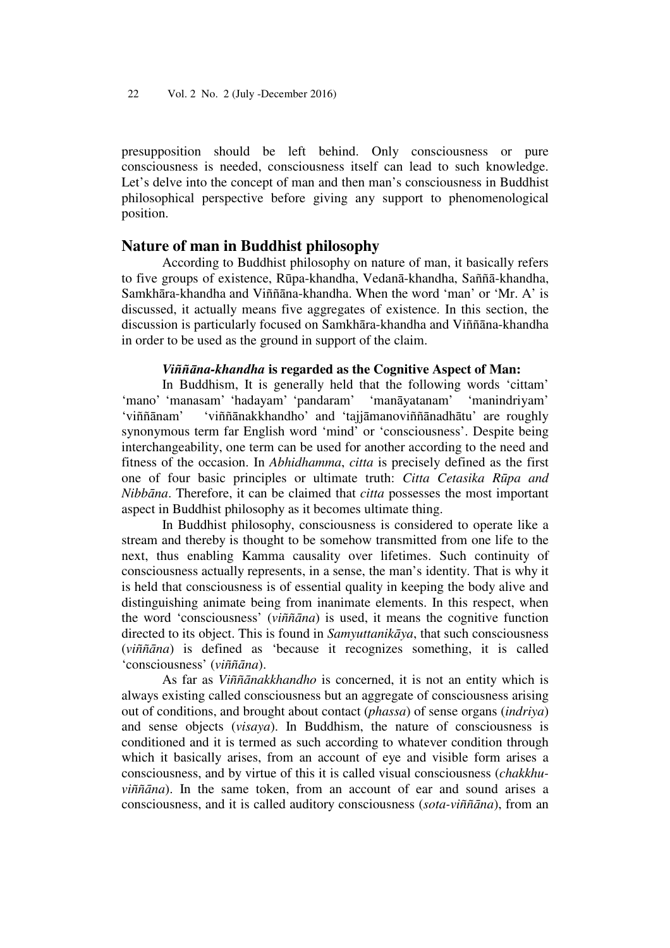presupposition should be left behind. Only consciousness or pure consciousness is needed, consciousness itself can lead to such knowledge. Let's delve into the concept of man and then man's consciousness in Buddhist philosophical perspective before giving any support to phenomenological position.

### **Nature of man in Buddhist philosophy**

According to Buddhist philosophy on nature of man, it basically refers to five groups of existence, Rūpa-khandha, Vedanā-khandha, Saññā-khandha, Samkhāra-khandha and Viññāna-khandha. When the word 'man' or 'Mr. A' is discussed, it actually means five aggregates of existence. In this section, the discussion is particularly focused on Samkhāra-khandha and Viññāna-khandha in order to be used as the ground in support of the claim.

## *Viññāna-khandha* **is regarded as the Cognitive Aspect of Man:**

In Buddhism, It is generally held that the following words 'cittam' 'mano' 'manasam' 'hadayam' 'pandaram' 'manāyatanam' 'manindriyam' 'viññānam' 'viññānakkhandho' and 'tajjāmanoviññānadhātu' are roughly synonymous term far English word 'mind' or 'consciousness'. Despite being interchangeability, one term can be used for another according to the need and fitness of the occasion. In *Abhidhamma*, *citta* is precisely defined as the first one of four basic principles or ultimate truth: *Citta Cetasika Rūpa and Nibbāna*. Therefore, it can be claimed that *citta* possesses the most important aspect in Buddhist philosophy as it becomes ultimate thing.

In Buddhist philosophy, consciousness is considered to operate like a stream and thereby is thought to be somehow transmitted from one life to the next, thus enabling Kamma causality over lifetimes. Such continuity of consciousness actually represents, in a sense, the man's identity. That is why it is held that consciousness is of essential quality in keeping the body alive and distinguishing animate being from inanimate elements. In this respect, when the word 'consciousness' (*viññāna*) is used, it means the cognitive function directed to its object. This is found in *Samyuttanikāya*, that such consciousness (*viññāna*) is defined as 'because it recognizes something, it is called 'consciousness' (*viññāna*).

As far as *Viññānakkhandho* is concerned, it is not an entity which is always existing called consciousness but an aggregate of consciousness arising out of conditions, and brought about contact (*phassa*) of sense organs (*indriya*) and sense objects (*visaya*). In Buddhism, the nature of consciousness is conditioned and it is termed as such according to whatever condition through which it basically arises, from an account of eye and visible form arises a consciousness, and by virtue of this it is called visual consciousness (*chakkhuviññāna*). In the same token, from an account of ear and sound arises a consciousness, and it is called auditory consciousness (*sota-viññāna*), from an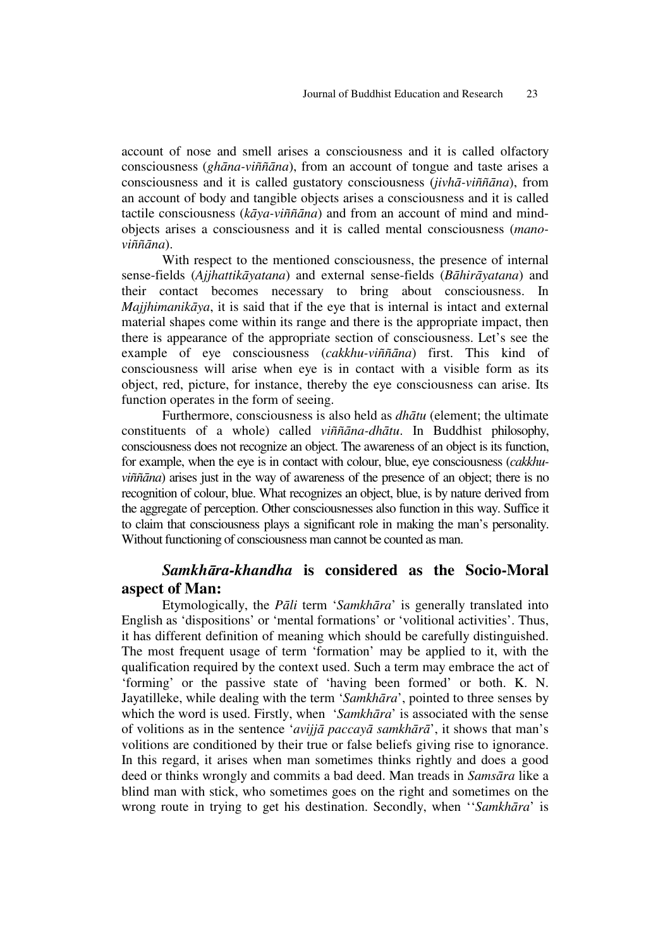account of nose and smell arises a consciousness and it is called olfactory consciousness (*ghāna-viññāna*), from an account of tongue and taste arises a consciousness and it is called gustatory consciousness (*jivhā-viññāna*), from an account of body and tangible objects arises a consciousness and it is called tactile consciousness (*kāya-viññāna*) and from an account of mind and mindobjects arises a consciousness and it is called mental consciousness (*manoviññāna*).

With respect to the mentioned consciousness, the presence of internal sense-fields (*Ajjhattikāyatana*) and external sense-fields (*Bāhirāyatana*) and their contact becomes necessary to bring about consciousness. In *Majjhimanikāya*, it is said that if the eye that is internal is intact and external material shapes come within its range and there is the appropriate impact, then there is appearance of the appropriate section of consciousness. Let's see the example of eye consciousness (*cakkhu-viññāna*) first. This kind of consciousness will arise when eye is in contact with a visible form as its object, red, picture, for instance, thereby the eye consciousness can arise. Its function operates in the form of seeing.

Furthermore, consciousness is also held as *dhātu* (element; the ultimate constituents of a whole) called *viññāna-dhātu*. In Buddhist philosophy, consciousness does not recognize an object. The awareness of an object is its function, for example, when the eye is in contact with colour, blue, eye consciousness (*cakkhuviññāna*) arises just in the way of awareness of the presence of an object; there is no recognition of colour, blue. What recognizes an object, blue, is by nature derived from the aggregate of perception. Other consciousnesses also function in this way. Suffice it to claim that consciousness plays a significant role in making the man's personality. Without functioning of consciousness man cannot be counted as man.

## *Samkhāra-khandha* **is considered as the Socio-Moral aspect of Man:**

Etymologically, the *Pāli* term '*Samkhāra*' is generally translated into English as 'dispositions' or 'mental formations' or 'volitional activities'. Thus, it has different definition of meaning which should be carefully distinguished. The most frequent usage of term 'formation' may be applied to it, with the qualification required by the context used. Such a term may embrace the act of 'forming' or the passive state of 'having been formed' or both. K. N. Jayatilleke, while dealing with the term '*Samkhāra*', pointed to three senses by which the word is used. Firstly, when '*Samkhāra*' is associated with the sense of volitions as in the sentence '*avijjā paccayā samkhārā*', it shows that man's volitions are conditioned by their true or false beliefs giving rise to ignorance. In this regard, it arises when man sometimes thinks rightly and does a good deed or thinks wrongly and commits a bad deed. Man treads in *Samsāra* like a blind man with stick, who sometimes goes on the right and sometimes on the wrong route in trying to get his destination. Secondly, when ''*Samkhāra*' is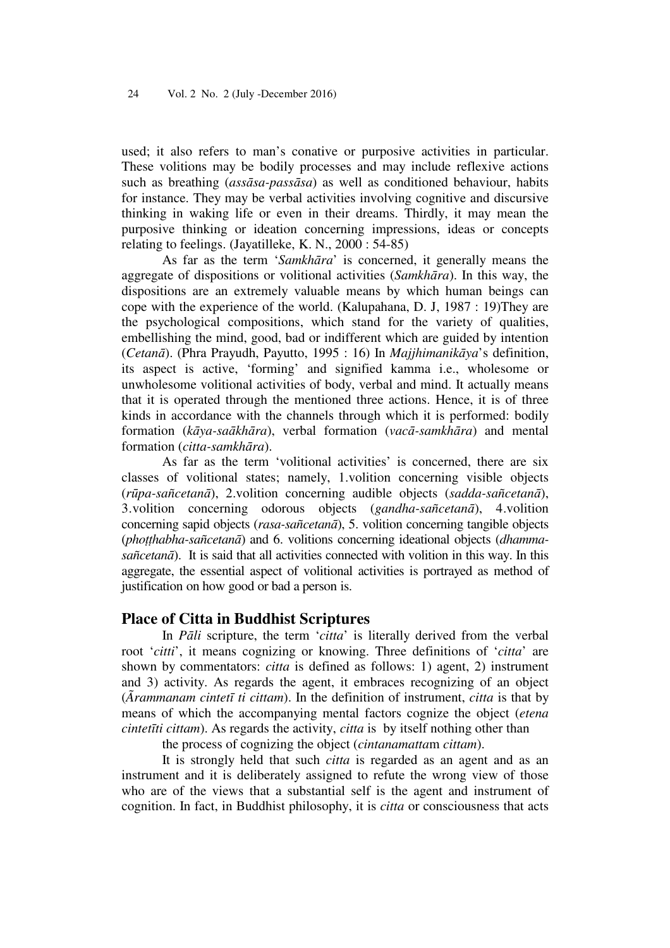used; it also refers to man's conative or purposive activities in particular. These volitions may be bodily processes and may include reflexive actions such as breathing (*assāsa-passāsa*) as well as conditioned behaviour, habits for instance. They may be verbal activities involving cognitive and discursive thinking in waking life or even in their dreams. Thirdly, it may mean the purposive thinking or ideation concerning impressions, ideas or concepts relating to feelings. (Jayatilleke, K. N., 2000 : 54-85)

As far as the term '*Samkhāra*' is concerned, it generally means the aggregate of dispositions or volitional activities (*Samkhāra*). In this way, the dispositions are an extremely valuable means by which human beings can cope with the experience of the world. (Kalupahana, D. J, 1987 : 19)They are the psychological compositions, which stand for the variety of qualities, embellishing the mind, good, bad or indifferent which are guided by intention (*Cetanā*). (Phra Prayudh, Payutto, 1995 : 16) In *Majjhimanikāya*'s definition, its aspect is active, 'forming' and signified kamma i.e., wholesome or unwholesome volitional activities of body, verbal and mind. It actually means that it is operated through the mentioned three actions. Hence, it is of three kinds in accordance with the channels through which it is performed: bodily formation (*kāya-saākhāra*), verbal formation (*vacā-samkhāra*) and mental formation (*citta-samkhāra*).

As far as the term 'volitional activities' is concerned, there are six classes of volitional states; namely, 1.volition concerning visible objects (*rūpa-sañcetanā*), 2.volition concerning audible objects (*sadda-sañcetanā*), 3.volition concerning odorous objects (*gandha-sañcetanā*), 4.volition concerning sapid objects (*rasa-sañcetanā*), 5. volition concerning tangible objects (*phoṭṭhabha-sañcetanā*) and 6. volitions concerning ideational objects (*dhammasañcetanā*). It is said that all activities connected with volition in this way. In this aggregate, the essential aspect of volitional activities is portrayed as method of justification on how good or bad a person is.

#### **Place of Citta in Buddhist Scriptures**

In *Pāli* scripture, the term '*citta*' is literally derived from the verbal root '*citti*', it means cognizing or knowing. Three definitions of '*citta*' are shown by commentators: *citta* is defined as follows: 1) agent, 2) instrument and 3) activity. As regards the agent, it embraces recognizing of an object (*Ãrammanam cintetī ti cittam*). In the definition of instrument, *citta* is that by means of which the accompanying mental factors cognize the object (*etena cintetīti cittam*). As regards the activity, *citta* is by itself nothing other than

the process of cognizing the object (*cintanamatta*m *cittam*).

It is strongly held that such *citta* is regarded as an agent and as an instrument and it is deliberately assigned to refute the wrong view of those who are of the views that a substantial self is the agent and instrument of cognition. In fact, in Buddhist philosophy, it is *citta* or consciousness that acts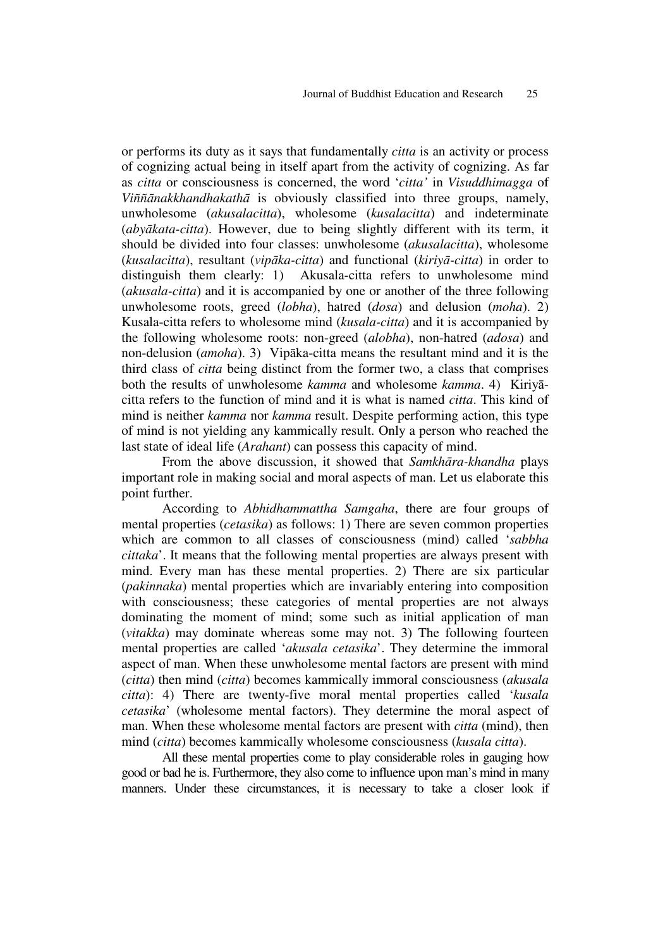or performs its duty as it says that fundamentally *citta* is an activity or process of cognizing actual being in itself apart from the activity of cognizing. As far as *citta* or consciousness is concerned, the word '*citta'* in *Visuddhimagga* of *Viññānakkhandhakathā* is obviously classified into three groups, namely, unwholesome (*akusalacitta*), wholesome (*kusalacitta*) and indeterminate (*abyākata-citta*). However, due to being slightly different with its term, it should be divided into four classes: unwholesome (*akusalacitta*), wholesome (*kusalacitta*), resultant (*vipāka-citta*) and functional (*kiriyā-citta*) in order to distinguish them clearly: 1) Akusala-citta refers to unwholesome mind (*akusala-citta*) and it is accompanied by one or another of the three following unwholesome roots, greed (*lobha*), hatred (*dosa*) and delusion (*moha*). 2) Kusala-citta refers to wholesome mind (*kusala-citta*) and it is accompanied by the following wholesome roots: non-greed (*alobha*), non-hatred (*adosa*) and non-delusion (*amoha*). 3) Vipāka-citta means the resultant mind and it is the third class of *citta* being distinct from the former two, a class that comprises both the results of unwholesome *kamma* and wholesome *kamma*. 4) Kiriyācitta refers to the function of mind and it is what is named *citta*. This kind of mind is neither *kamma* nor *kamma* result. Despite performing action, this type of mind is not yielding any kammically result. Only a person who reached the last state of ideal life (*Arahant*) can possess this capacity of mind.

From the above discussion, it showed that *Samkhāra-khandha* plays important role in making social and moral aspects of man. Let us elaborate this point further.

According to *Abhidhammattha Samgaha*, there are four groups of mental properties (*cetasika*) as follows: 1) There are seven common properties which are common to all classes of consciousness (mind) called '*sabbha cittaka*'. It means that the following mental properties are always present with mind. Every man has these mental properties. 2) There are six particular (*pakinnaka*) mental properties which are invariably entering into composition with consciousness; these categories of mental properties are not always dominating the moment of mind; some such as initial application of man (*vitakka*) may dominate whereas some may not. 3) The following fourteen mental properties are called '*akusala cetasika*'. They determine the immoral aspect of man. When these unwholesome mental factors are present with mind (*citta*) then mind (*citta*) becomes kammically immoral consciousness (*akusala citta*): 4) There are twenty-five moral mental properties called '*kusala cetasika*' (wholesome mental factors). They determine the moral aspect of man. When these wholesome mental factors are present with *citta* (mind), then mind (*citta*) becomes kammically wholesome consciousness (*kusala citta*).

All these mental properties come to play considerable roles in gauging how good or bad he is. Furthermore, they also come to influence upon man's mind in many manners. Under these circumstances, it is necessary to take a closer look if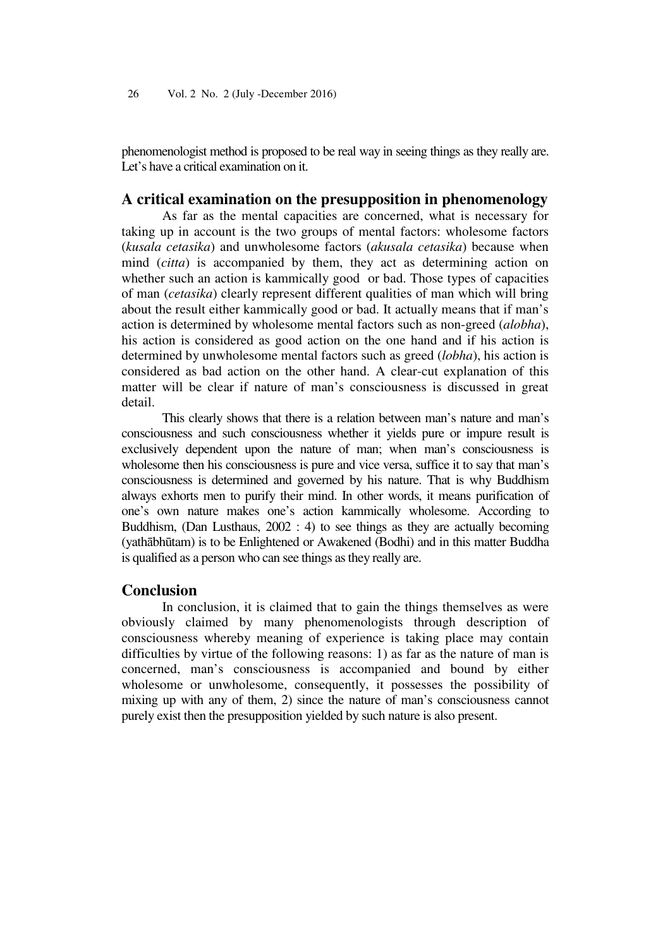phenomenologist method is proposed to be real way in seeing things as they really are. Let's have a critical examination on it.

## **A critical examination on the presupposition in phenomenology**

As far as the mental capacities are concerned, what is necessary for taking up in account is the two groups of mental factors: wholesome factors (*kusala cetasika*) and unwholesome factors (*akusala cetasika*) because when mind (*citta*) is accompanied by them, they act as determining action on whether such an action is kammically good or bad. Those types of capacities of man (*cetasika*) clearly represent different qualities of man which will bring about the result either kammically good or bad. It actually means that if man's action is determined by wholesome mental factors such as non-greed (*alobha*), his action is considered as good action on the one hand and if his action is determined by unwholesome mental factors such as greed (*lobha*), his action is considered as bad action on the other hand. A clear-cut explanation of this matter will be clear if nature of man's consciousness is discussed in great detail.

This clearly shows that there is a relation between man's nature and man's consciousness and such consciousness whether it yields pure or impure result is exclusively dependent upon the nature of man; when man's consciousness is wholesome then his consciousness is pure and vice versa, suffice it to say that man's consciousness is determined and governed by his nature. That is why Buddhism always exhorts men to purify their mind. In other words, it means purification of one's own nature makes one's action kammically wholesome. According to Buddhism, (Dan Lusthaus, 2002 : 4) to see things as they are actually becoming (yathābhūtam) is to be Enlightened or Awakened (Bodhi) and in this matter Buddha is qualified as a person who can see things as they really are.

#### **Conclusion**

In conclusion, it is claimed that to gain the things themselves as were obviously claimed by many phenomenologists through description of consciousness whereby meaning of experience is taking place may contain difficulties by virtue of the following reasons: 1) as far as the nature of man is concerned, man's consciousness is accompanied and bound by either wholesome or unwholesome, consequently, it possesses the possibility of mixing up with any of them, 2) since the nature of man's consciousness cannot purely exist then the presupposition yielded by such nature is also present.